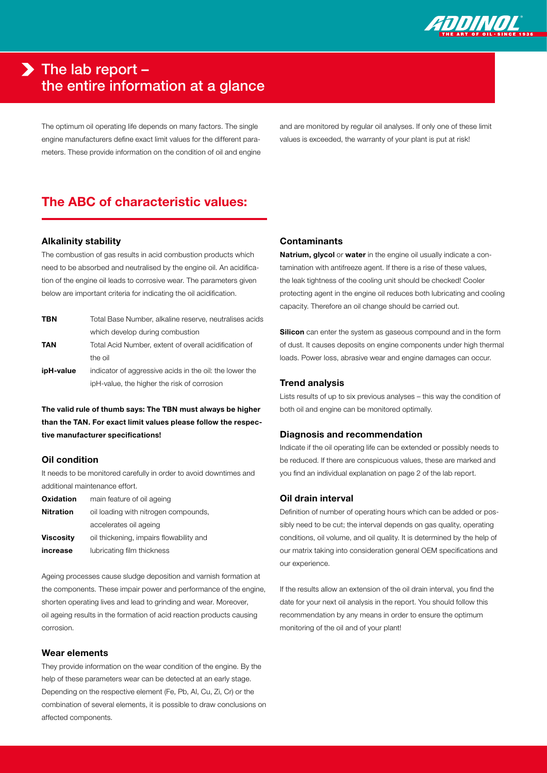

# $\blacktriangleright$  The lab report – the entire information at a glance

The optimum oil operating life depends on many factors. The single engine manufacturers define exact limit values for the different parameters. These provide information on the condition of oil and engine and are monitored by regular oil analyses. If only one of these limit values is exceeded, the warranty of your plant is put at risk!

## The ABC of characteristic values:

#### Alkalinity stability

The combustion of gas results in acid combustion products which need to be absorbed and neutralised by the engine oil. An acidification of the engine oil leads to corrosive wear. The parameters given below are important criteria for indicating the oil acidification.

| <b>TBN</b> | Total Base Number, alkaline reserve, neutralises acids  |
|------------|---------------------------------------------------------|
|            | which develop during combustion                         |
| TAN        | Total Acid Number, extent of overall acidification of   |
|            | the oil                                                 |
| ipH-value  | indicator of aggressive acids in the oil: the lower the |
|            | ipH-value, the higher the risk of corrosion             |
|            |                                                         |

The valid rule of thumb says: The TBN must always be higher than the TAN. For exact limit values please follow the respective manufacturer specifications!

## Oil condition

It needs to be monitored carefully in order to avoid downtimes and additional maintenance effort.

| Oxidation        | main feature of oil ageing              |
|------------------|-----------------------------------------|
| <b>Nitration</b> | oil loading with nitrogen compounds,    |
|                  | accelerates oil ageing                  |
| Viscosity        | oil thickening, impairs flowability and |
| increase         | lubricating film thickness              |

Ageing processes cause sludge deposition and varnish formation at the components. These impair power and performance of the engine, shorten operating lives and lead to grinding and wear. Moreover, oil ageing results in the formation of acid reaction products causing corrosion.

## Wear elements

They provide information on the wear condition of the engine. By the help of these parameters wear can be detected at an early stage. Depending on the respective element (Fe, Pb, Al, Cu, Zi, Cr) or the combination of several elements, it is possible to draw conclusions on affected components.

#### **Contaminants**

Natrium, glycol or water in the engine oil usually indicate a contamination with antifreeze agent. If there is a rise of these values, the leak tightness of the cooling unit should be checked! Cooler protecting agent in the engine oil reduces both lubricating and cooling capacity. Therefore an oil change should be carried out.

Silicon can enter the system as gaseous compound and in the form of dust. It causes deposits on engine components under high thermal loads. Power loss, abrasive wear and engine damages can occur.

### Trend analysis

Lists results of up to six previous analyses – this way the condition of both oil and engine can be monitored optimally.

#### Diagnosis and recommendation

Indicate if the oil operating life can be extended or possibly needs to be reduced. If there are conspicuous values, these are marked and you find an individual explanation on page 2 of the lab report.

## Oil drain interval

Definition of number of operating hours which can be added or possibly need to be cut; the interval depends on gas quality, operating conditions, oil volume, and oil quality. It is determined by the help of our matrix taking into consideration general OEM specifications and our experience.

If the results allow an extension of the oil drain interval, you find the date for your next oil analysis in the report. You should follow this recommendation by any means in order to ensure the optimum monitoring of the oil and of your plant!